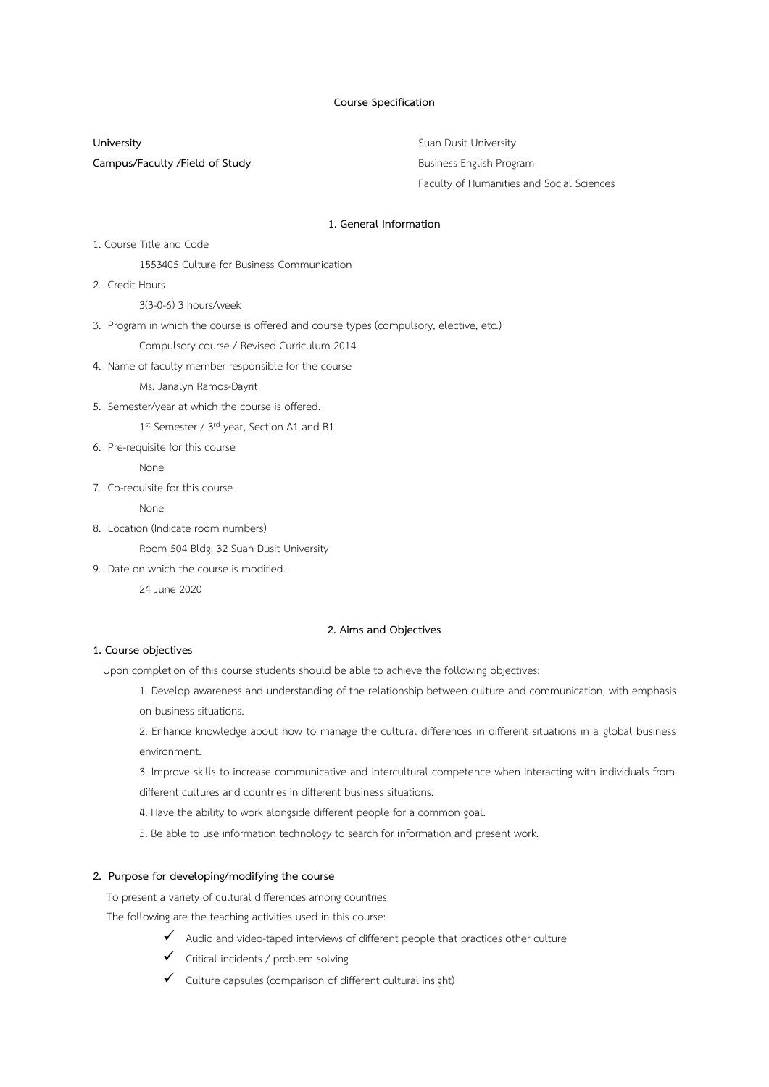#### **Course Specification**

**University** Suan Dusit University **Campus/Faculty /Field of Study Business English Program** 

Faculty of Humanities and Social Sciences

#### **1. General Information**

1. Course Title and Code

1553405 Culture for Business Communication

2. Credit Hours

3(3-0-6) 3 hours/week

3. Program in which the course is offered and course types (compulsory, elective, etc.)

Compulsory course / Revised Curriculum 2014

4. Name of faculty member responsible for the course

Ms. Janalyn Ramos-Dayrit

5. Semester/year at which the course is offered.

1st Semester / 3rd year, Section A1 and B1

6. Pre-requisite for this course

None

7. Co-requisite for this course

None

8. Location (Indicate room numbers)

Room 504 Bldg. 32 Suan Dusit University

9. Date on which the course is modified.

24 June 2020

#### **2. Aims and Objectives**

## **1. Course objectives**

Upon completion of this course students should be able to achieve the following objectives:

- 1. Develop awareness and understanding of the relationship between culture and communication, with emphasis on business situations.
- 2. Enhance knowledge about how to manage the cultural differences in different situations in a global business environment.
- 3. Improve skills to increase communicative and intercultural competence when interacting with individuals from

different cultures and countries in different business situations.

- 4. Have the ability to work alongside different people for a common goal.
- 5. Be able to use information technology to search for information and present work.

## **2. Purpose for developing/modifying the course**

To present a variety of cultural differences among countries.

The following are the teaching activities used in this course:

- $\checkmark$  Audio and video-taped interviews of different people that practices other culture
- ✓ Critical incidents / problem solving
- $\checkmark$  Culture capsules (comparison of different cultural insight)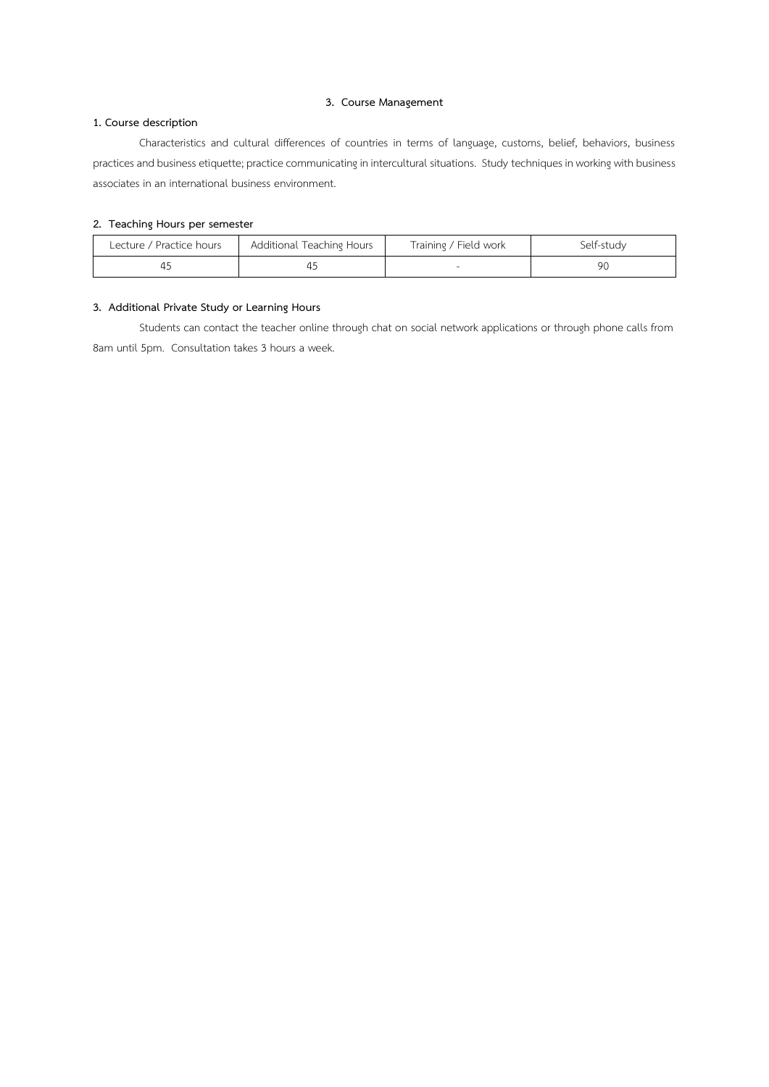## **3. Course Management**

# **1. Course description**

Characteristics and cultural differences of countries in terms of language, customs, belief, behaviors, business practices and business etiquette; practice communicating in intercultural situations. Study techniques in working with business associates in an international business environment.

## **2. Teaching Hours per semester**

| Additional Teaching Hours<br>Lecture / Practice hours |  | Training / Field work | Self-study |  |
|-------------------------------------------------------|--|-----------------------|------------|--|
|                                                       |  |                       | 90         |  |

## **3. Additional Private Study or Learning Hours**

Students can contact the teacher online through chat on social network applications or through phone calls from 8am until 5pm. Consultation takes 3 hours a week.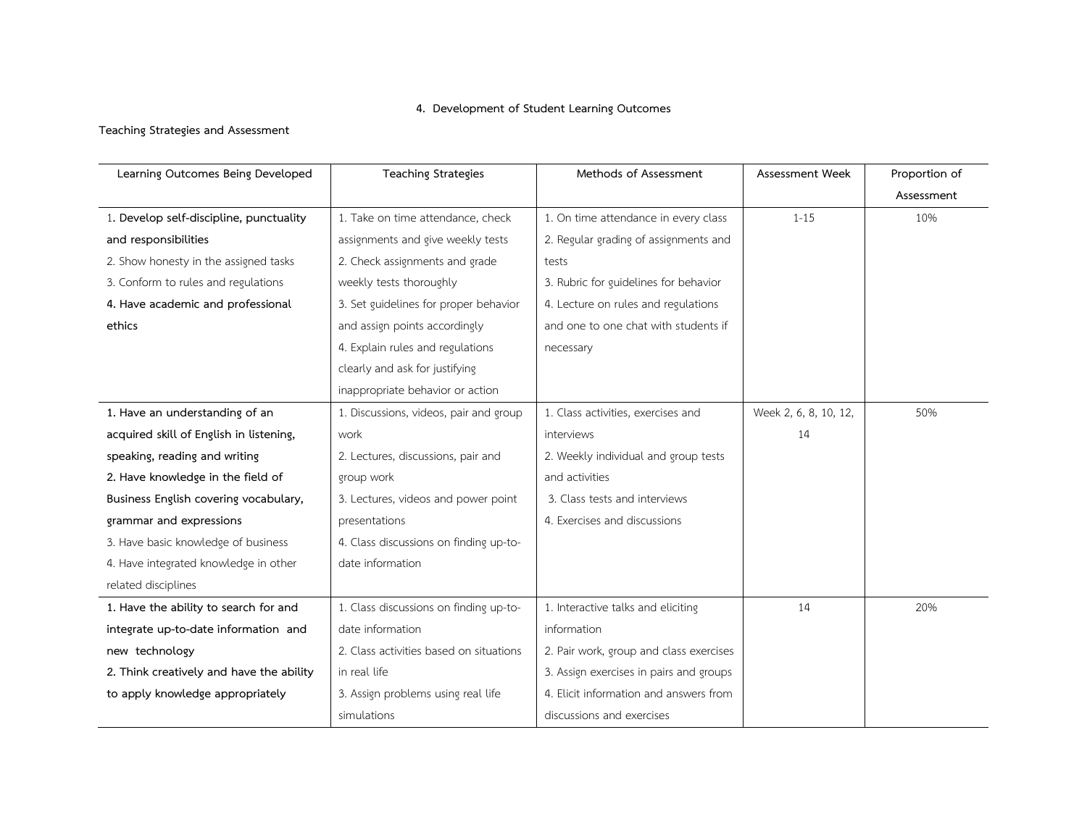# **4. Development of Student Learning Outcomes**

## **Teaching Strategies and Assessment**

| Learning Outcomes Being Developed        | <b>Teaching Strategies</b>              | Methods of Assessment                   | Assessment Week       | Proportion of |
|------------------------------------------|-----------------------------------------|-----------------------------------------|-----------------------|---------------|
|                                          |                                         |                                         |                       | Assessment    |
| 1. Develop self-discipline, punctuality  | 1. Take on time attendance, check       | 1. On time attendance in every class    | $1 - 15$              | 10%           |
| and responsibilities                     | assignments and give weekly tests       | 2. Regular grading of assignments and   |                       |               |
| 2. Show honesty in the assigned tasks    | 2. Check assignments and grade          | tests                                   |                       |               |
| 3. Conform to rules and regulations      | weekly tests thoroughly                 | 3. Rubric for guidelines for behavior   |                       |               |
| 4. Have academic and professional        | 3. Set guidelines for proper behavior   | 4. Lecture on rules and regulations     |                       |               |
| ethics                                   | and assign points accordingly           | and one to one chat with students if    |                       |               |
|                                          | 4. Explain rules and regulations        | necessary                               |                       |               |
|                                          | clearly and ask for justifying          |                                         |                       |               |
|                                          | inappropriate behavior or action        |                                         |                       |               |
| 1. Have an understanding of an           | 1. Discussions, videos, pair and group  | 1. Class activities, exercises and      | Week 2, 6, 8, 10, 12, | 50%           |
| acquired skill of English in listening,  | work                                    | interviews                              | 14                    |               |
| speaking, reading and writing            | 2. Lectures, discussions, pair and      | 2. Weekly individual and group tests    |                       |               |
| 2. Have knowledge in the field of        | group work                              | and activities                          |                       |               |
| Business English covering vocabulary,    | 3. Lectures, videos and power point     | 3. Class tests and interviews           |                       |               |
| grammar and expressions                  | presentations                           | 4. Exercises and discussions            |                       |               |
| 3. Have basic knowledge of business      | 4. Class discussions on finding up-to-  |                                         |                       |               |
| 4. Have integrated knowledge in other    | date information                        |                                         |                       |               |
| related disciplines                      |                                         |                                         |                       |               |
| 1. Have the ability to search for and    | 1. Class discussions on finding up-to-  | 1. Interactive talks and eliciting      | 14                    | 20%           |
| integrate up-to-date information and     | date information                        | information                             |                       |               |
| new technology                           | 2. Class activities based on situations | 2. Pair work, group and class exercises |                       |               |
| 2. Think creatively and have the ability | in real life                            | 3. Assign exercises in pairs and groups |                       |               |
| to apply knowledge appropriately         | 3. Assign problems using real life      | 4. Elicit information and answers from  |                       |               |
|                                          | simulations                             | discussions and exercises               |                       |               |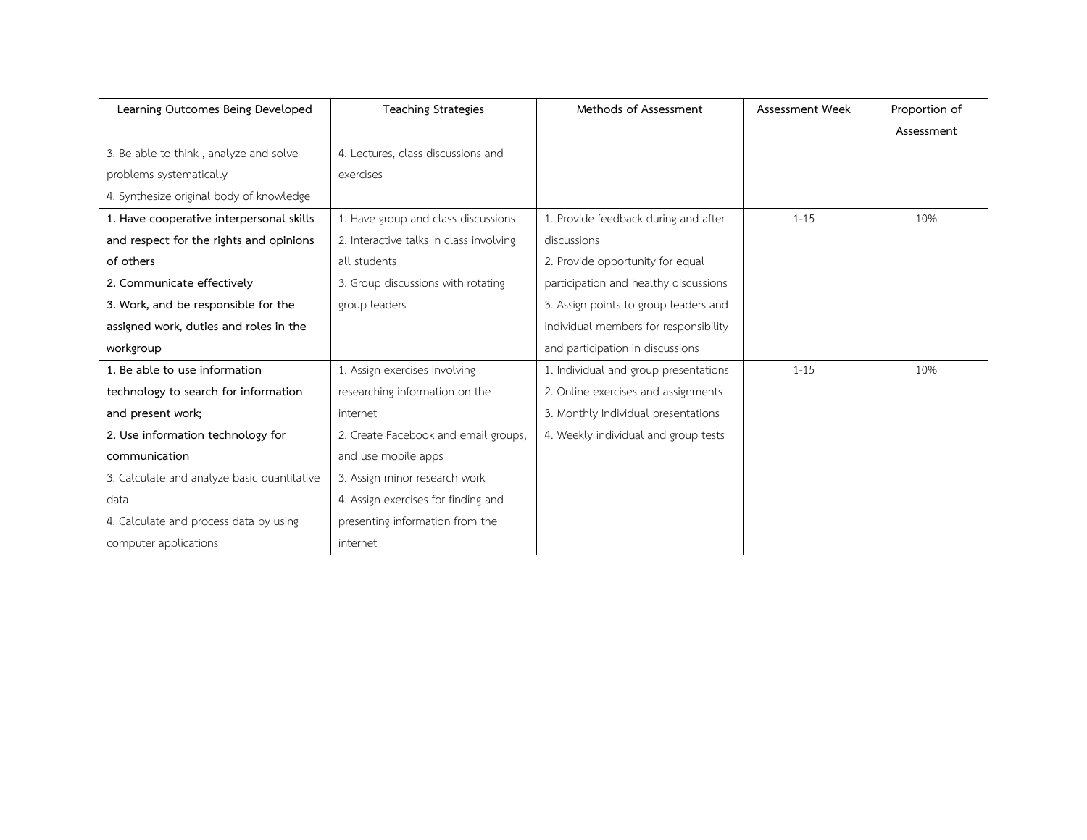| Learning Outcomes Being Developed           | <b>Teaching Strategies</b>              | Methods of Assessment                 | Assessment Week | Proportion of |
|---------------------------------------------|-----------------------------------------|---------------------------------------|-----------------|---------------|
|                                             |                                         |                                       |                 | Assessment    |
| 3. Be able to think, analyze and solve      | 4. Lectures, class discussions and      |                                       |                 |               |
| problems systematically                     | exercises                               |                                       |                 |               |
| 4. Synthesize original body of knowledge    |                                         |                                       |                 |               |
| 1. Have cooperative interpersonal skills    | 1. Have group and class discussions     | 1. Provide feedback during and after  | $1 - 15$        | 10%           |
| and respect for the rights and opinions     | 2. Interactive talks in class involving | discussions                           |                 |               |
| of others                                   | all students                            | 2. Provide opportunity for equal      |                 |               |
| 2. Communicate effectively                  | 3. Group discussions with rotating      | participation and healthy discussions |                 |               |
| 3. Work, and be responsible for the         | group leaders                           | 3. Assign points to group leaders and |                 |               |
| assigned work, duties and roles in the      |                                         | individual members for responsibility |                 |               |
| workgroup                                   |                                         | and participation in discussions      |                 |               |
| 1. Be able to use information               | 1. Assign exercises involving           | 1. Individual and group presentations | $1 - 15$        | 10%           |
| technology to search for information        | researching information on the          | 2. Online exercises and assignments   |                 |               |
| and present work;                           | internet                                | 3. Monthly Individual presentations   |                 |               |
| 2. Use information technology for           | 2. Create Facebook and email groups,    | 4. Weekly individual and group tests  |                 |               |
| communication                               | and use mobile apps                     |                                       |                 |               |
| 3. Calculate and analyze basic quantitative | 3. Assign minor research work           |                                       |                 |               |
| data                                        | 4. Assign exercises for finding and     |                                       |                 |               |
| 4. Calculate and process data by using      | presenting information from the         |                                       |                 |               |
| computer applications                       | internet                                |                                       |                 |               |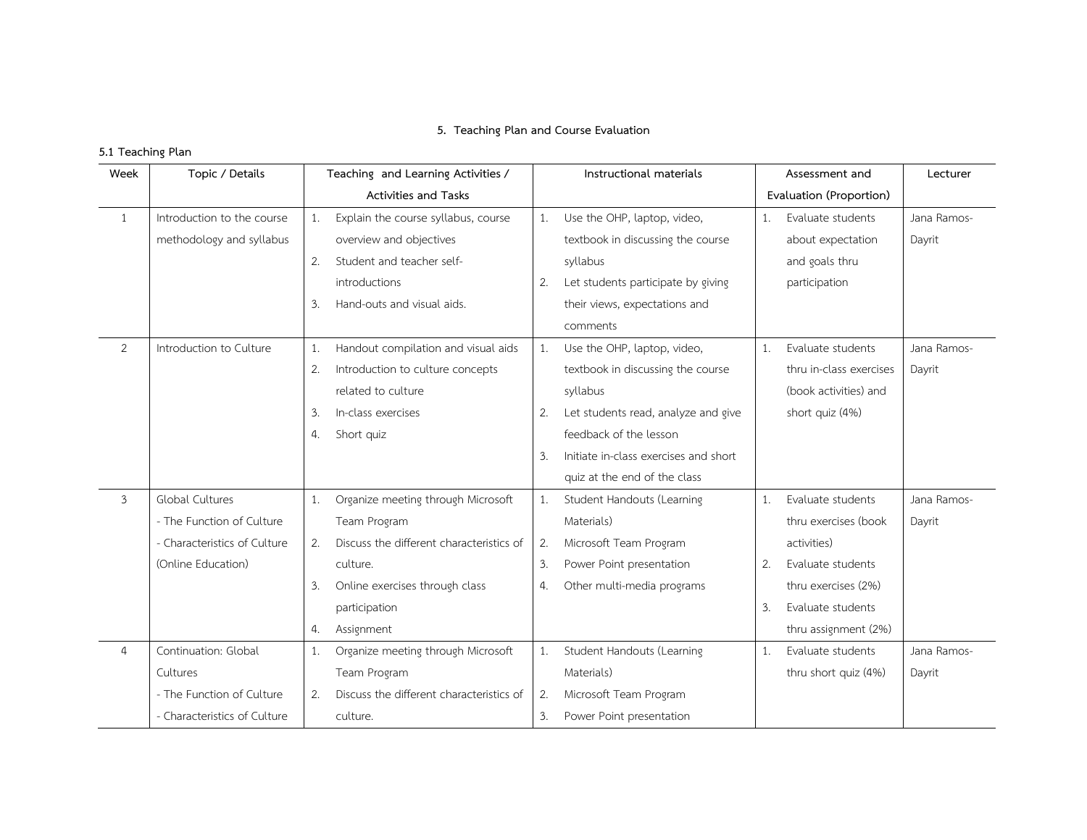## **5. Teaching Plan and Course Evaluation**

# **5.1 Teaching Plan**

| Week           | Topic / Details              |    | Teaching and Learning Activities /       |    | Instructional materials               |    | Assessment and          | Lecturer    |
|----------------|------------------------------|----|------------------------------------------|----|---------------------------------------|----|-------------------------|-------------|
|                |                              |    | <b>Activities and Tasks</b>              |    |                                       |    | Evaluation (Proportion) |             |
| 1              | Introduction to the course   | 1. | Explain the course syllabus, course      | 1. | Use the OHP, laptop, video,           | 1. | Evaluate students       | Jana Ramos- |
|                | methodology and syllabus     |    | overview and objectives                  |    | textbook in discussing the course     |    | about expectation       | Dayrit      |
|                |                              | 2. | Student and teacher self-                |    | syllabus                              |    | and goals thru          |             |
|                |                              |    | introductions                            | 2. | Let students participate by giving    |    | participation           |             |
|                |                              | 3. | Hand-outs and visual aids.               |    | their views, expectations and         |    |                         |             |
|                |                              |    |                                          |    | comments                              |    |                         |             |
| 2              | Introduction to Culture      | 1. | Handout compilation and visual aids      | 1. | Use the OHP, laptop, video,           | 1. | Evaluate students       | Jana Ramos- |
|                |                              | 2. | Introduction to culture concepts         |    | textbook in discussing the course     |    | thru in-class exercises | Dayrit      |
|                |                              |    | related to culture                       |    | syllabus                              |    | (book activities) and   |             |
|                |                              | 3. | In-class exercises                       | 2. | Let students read, analyze and give   |    | short quiz (4%)         |             |
|                |                              | 4. | Short quiz                               |    | feedback of the lesson                |    |                         |             |
|                |                              |    |                                          | 3. | Initiate in-class exercises and short |    |                         |             |
|                |                              |    |                                          |    | quiz at the end of the class          |    |                         |             |
| $\mathbf{3}$   | <b>Global Cultures</b>       | 1. | Organize meeting through Microsoft       | 1. | Student Handouts (Learning            | 1. | Evaluate students       | Jana Ramos- |
|                | - The Function of Culture    |    | Team Program                             |    | Materials)                            |    | thru exercises (book    | Dayrit      |
|                | - Characteristics of Culture | 2. | Discuss the different characteristics of | 2. | Microsoft Team Program                |    | activities)             |             |
|                | (Online Education)           |    | culture.                                 | 3. | Power Point presentation              | 2. | Evaluate students       |             |
|                |                              | 3. | Online exercises through class           | 4. | Other multi-media programs            |    | thru exercises (2%)     |             |
|                |                              |    | participation                            |    |                                       | 3. | Evaluate students       |             |
|                |                              | 4. | Assignment                               |    |                                       |    | thru assignment (2%)    |             |
| $\overline{4}$ | Continuation: Global         | 1. | Organize meeting through Microsoft       | 1. | Student Handouts (Learning            | 1. | Evaluate students       | Jana Ramos- |
|                | Cultures                     |    | Team Program                             |    | Materials)                            |    | thru short quiz (4%)    | Dayrit      |
|                | - The Function of Culture    | 2. | Discuss the different characteristics of | 2. | Microsoft Team Program                |    |                         |             |
|                | - Characteristics of Culture |    | culture.                                 | 3. | Power Point presentation              |    |                         |             |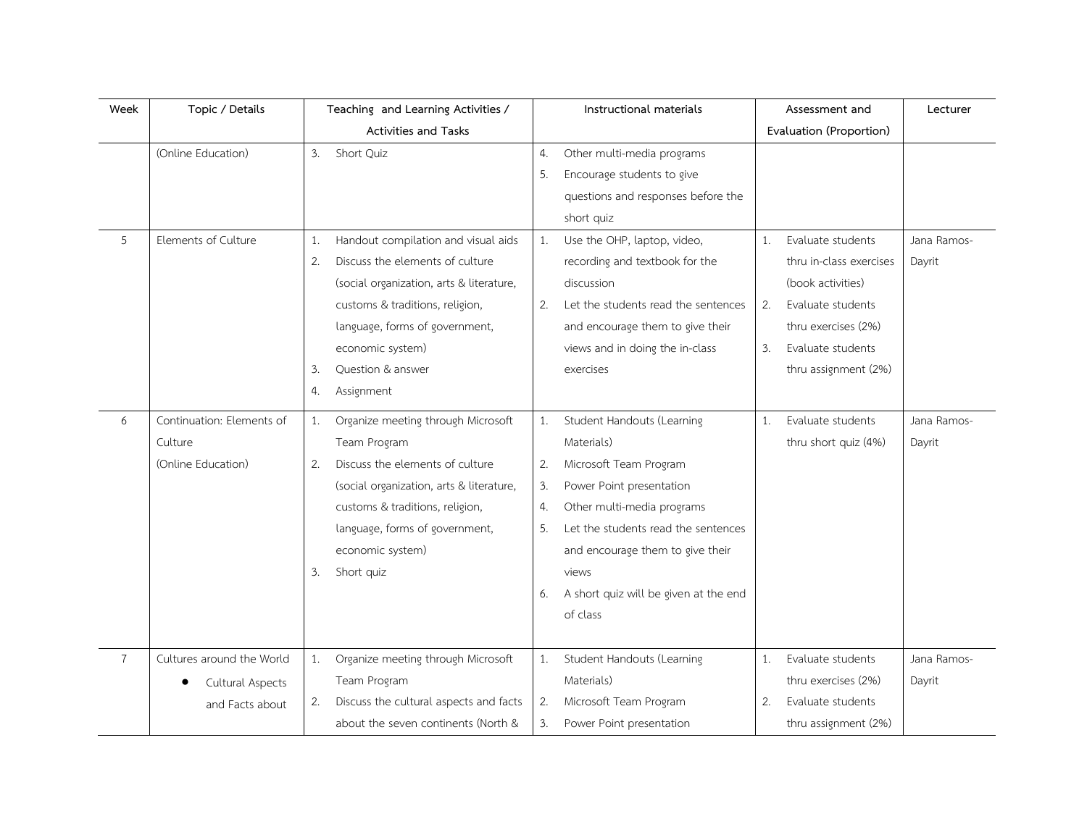| Week           | Topic / Details           | Teaching and Learning Activities /           | Instructional materials                     | Assessment and                    | Lecturer    |
|----------------|---------------------------|----------------------------------------------|---------------------------------------------|-----------------------------------|-------------|
|                |                           | <b>Activities and Tasks</b>                  |                                             | Evaluation (Proportion)           |             |
|                | (Online Education)        | 3.<br>Short Quiz                             | Other multi-media programs<br>4.            |                                   |             |
|                |                           |                                              | Encourage students to give<br>5.            |                                   |             |
|                |                           |                                              | questions and responses before the          |                                   |             |
|                |                           |                                              | short quiz                                  |                                   |             |
| 5              | Elements of Culture       | Handout compilation and visual aids<br>1.    | Use the OHP, laptop, video,<br>1.           | Evaluate students<br>1.           | Jana Ramos- |
|                |                           | Discuss the elements of culture<br>2.        | recording and textbook for the              | thru in-class exercises<br>Dayrit |             |
|                |                           | (social organization, arts & literature,     | discussion                                  | (book activities)                 |             |
|                |                           | customs & traditions, religion,              | Let the students read the sentences<br>2.   | 2.<br>Evaluate students           |             |
|                |                           | language, forms of government,               | and encourage them to give their            | thru exercises (2%)               |             |
|                |                           | economic system)                             | views and in doing the in-class             | Evaluate students<br>3.           |             |
|                |                           | Ouestion & answer<br>3.                      | exercises                                   | thru assignment (2%)              |             |
|                |                           | Assignment<br>4.                             |                                             |                                   |             |
| 6              | Continuation: Elements of | Organize meeting through Microsoft<br>1.     | Student Handouts (Learning<br>1.            | Evaluate students<br>1.           | Jana Ramos- |
|                | Culture                   | Team Program                                 | Materials)                                  | thru short quiz (4%)<br>Dayrit    |             |
|                | (Online Education)        | 2.<br>Discuss the elements of culture        | Microsoft Team Program<br>2.                |                                   |             |
|                |                           | (social organization, arts & literature,     | Power Point presentation<br>3.              |                                   |             |
|                |                           | customs & traditions, religion,              | Other multi-media programs<br>4.            |                                   |             |
|                |                           | language, forms of government,               | Let the students read the sentences<br>5.   |                                   |             |
|                |                           | economic system)                             | and encourage them to give their            |                                   |             |
|                |                           | Short quiz<br>3.                             | views                                       |                                   |             |
|                |                           |                                              | A short quiz will be given at the end<br>6. |                                   |             |
|                |                           |                                              | of class                                    |                                   |             |
|                |                           |                                              |                                             |                                   |             |
| $\overline{7}$ | Cultures around the World | Organize meeting through Microsoft<br>1.     | 1.<br>Student Handouts (Learning            | Evaluate students<br>1.           | Jana Ramos- |
|                | Cultural Aspects          | Team Program                                 | Materials)                                  | thru exercises (2%)<br>Dayrit     |             |
|                | and Facts about           | Discuss the cultural aspects and facts<br>2. | Microsoft Team Program<br>2.                | 2.<br>Evaluate students           |             |
|                |                           | about the seven continents (North &          | 3.<br>Power Point presentation              | thru assignment (2%)              |             |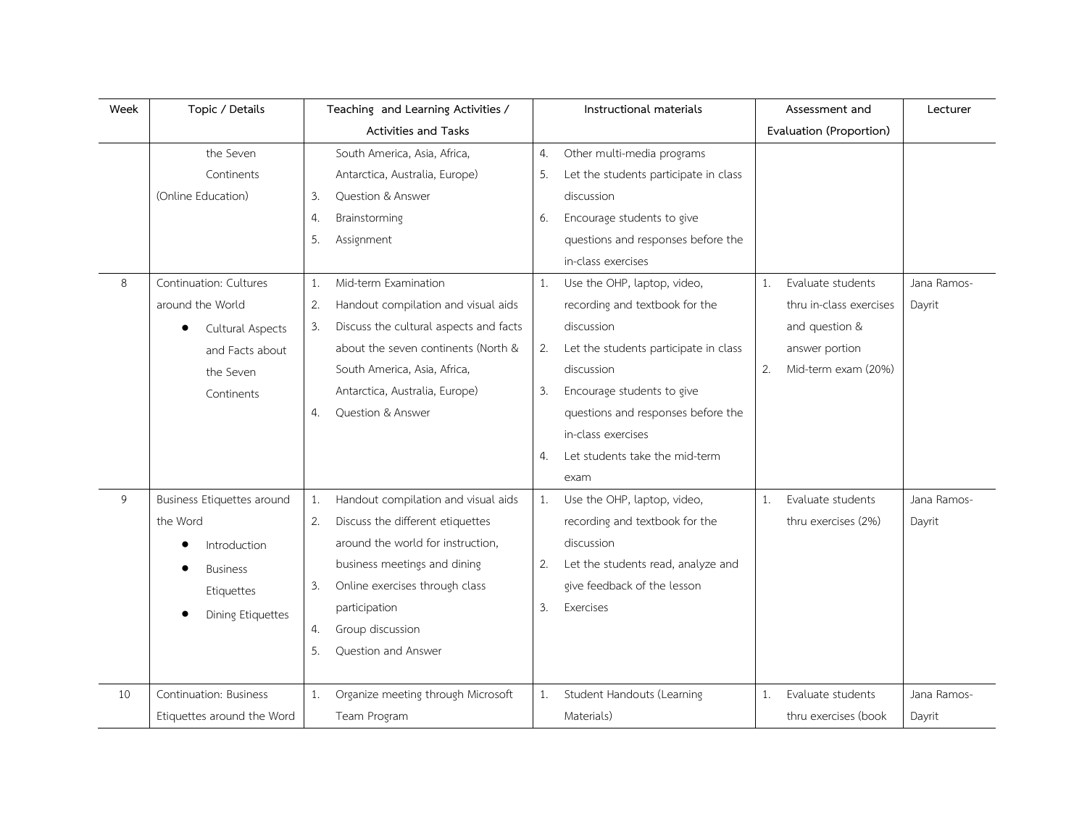| Week | Topic / Details            | Teaching and Learning Activities /           | Instructional materials                     | Assessment and            | Lecturer    |
|------|----------------------------|----------------------------------------------|---------------------------------------------|---------------------------|-------------|
|      |                            | <b>Activities and Tasks</b>                  |                                             | Evaluation (Proportion)   |             |
|      | the Seven                  | South America, Asia, Africa,                 | Other multi-media programs<br>4.            |                           |             |
|      | Continents                 | Antarctica, Australia, Europe)               | Let the students participate in class<br>5. |                           |             |
|      | (Online Education)         | Question & Answer<br>3.                      | discussion                                  |                           |             |
|      |                            | Brainstorming<br>4.                          | Encourage students to give<br>6.            |                           |             |
|      |                            | 5.<br>Assignment                             | questions and responses before the          |                           |             |
|      |                            |                                              | in-class exercises                          |                           |             |
| 8    | Continuation: Cultures     | Mid-term Examination<br>1.                   | Use the OHP, laptop, video,<br>1.           | Evaluate students<br>1.   | Jana Ramos- |
|      | around the World           | Handout compilation and visual aids<br>2.    | recording and textbook for the              | thru in-class exercises   | Dayrit      |
|      | Cultural Aspects<br>٠      | Discuss the cultural aspects and facts<br>3. | discussion                                  | and question &            |             |
|      | and Facts about            | about the seven continents (North &          | Let the students participate in class<br>2. | answer portion            |             |
|      | the Seven                  | South America, Asia, Africa,                 | discussion                                  | 2.<br>Mid-term exam (20%) |             |
|      | Continents                 | Antarctica, Australia, Europe)               | Encourage students to give<br>3.            |                           |             |
|      |                            | Question & Answer<br>4.                      | questions and responses before the          |                           |             |
|      |                            |                                              | in-class exercises                          |                           |             |
|      |                            |                                              | Let students take the mid-term<br>4.        |                           |             |
|      |                            |                                              | exam                                        |                           |             |
| 9    | Business Etiquettes around | Handout compilation and visual aids<br>1.    | Use the OHP, laptop, video,<br>1.           | Evaluate students<br>1.   | Jana Ramos- |
|      | the Word                   | Discuss the different etiquettes<br>2.       | recording and textbook for the              | thru exercises (2%)       | Dayrit      |
|      | Introduction               | around the world for instruction,            | discussion                                  |                           |             |
|      | <b>Business</b>            | business meetings and dining                 | Let the students read, analyze and<br>2.    |                           |             |
|      | Etiquettes                 | Online exercises through class<br>3.         | give feedback of the lesson                 |                           |             |
|      | <b>Dining Etiquettes</b>   | participation                                | Exercises<br>3.                             |                           |             |
|      |                            | Group discussion<br>4.                       |                                             |                           |             |
|      |                            | Question and Answer<br>5.                    |                                             |                           |             |
|      |                            |                                              |                                             |                           |             |
| 10   | Continuation: Business     | Organize meeting through Microsoft<br>1.     | Student Handouts (Learning<br>1.            | Evaluate students<br>1.   | Jana Ramos- |
|      | Etiquettes around the Word | Team Program                                 | Materials)                                  | thru exercises (book      | Dayrit      |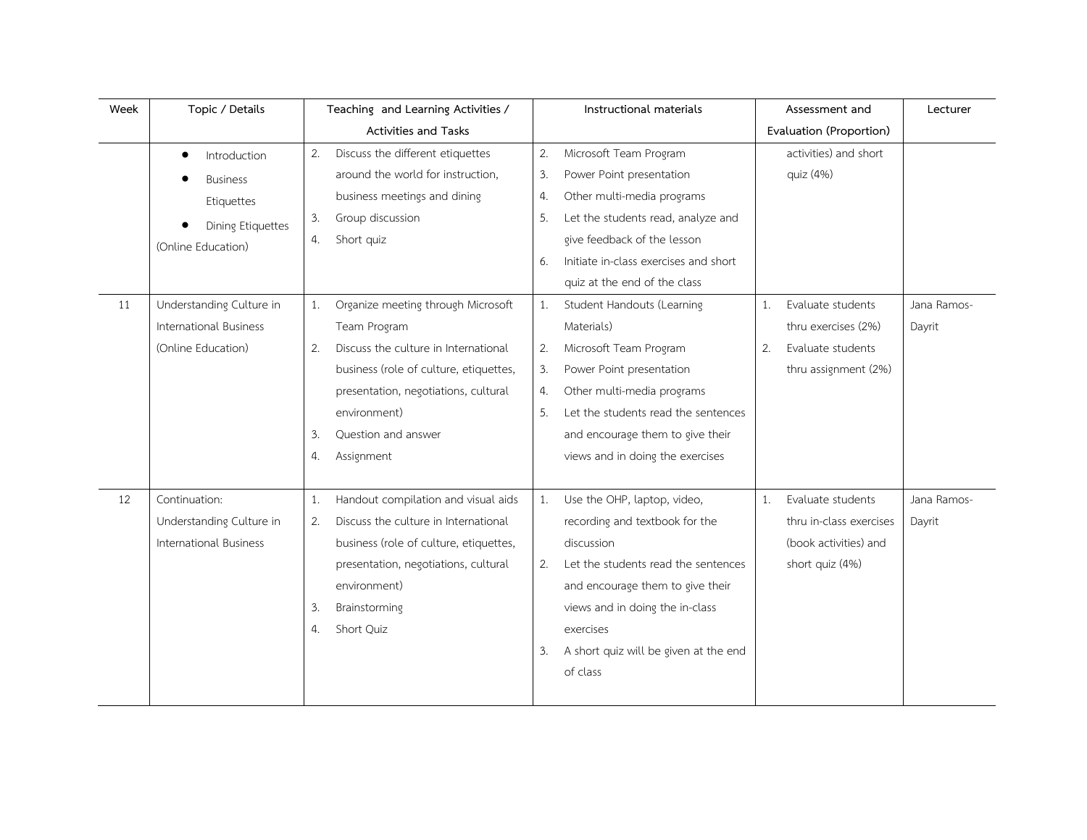| Week | Topic / Details               | Teaching and Learning Activities /         | Instructional materials                     | Assessment and          | Lecturer    |
|------|-------------------------------|--------------------------------------------|---------------------------------------------|-------------------------|-------------|
|      |                               | Activities and Tasks                       |                                             | Evaluation (Proportion) |             |
|      | Introduction<br>$\bullet$     | Discuss the different etiquettes<br>2.     | Microsoft Team Program<br>2.                | activities) and short   |             |
|      | <b>Business</b>               | around the world for instruction,          | Power Point presentation<br>3.              | quiz (4%)               |             |
|      | Etiquettes                    | business meetings and dining               | Other multi-media programs<br>4.            |                         |             |
|      | Dining Etiquettes             | Group discussion<br>3.                     | Let the students read, analyze and<br>5.    |                         |             |
|      | (Online Education)            | 4.<br>Short quiz                           | give feedback of the lesson                 |                         |             |
|      |                               |                                            | Initiate in-class exercises and short<br>6. |                         |             |
|      |                               |                                            | quiz at the end of the class                |                         |             |
| 11   | Understanding Culture in      | Organize meeting through Microsoft<br>1.   | Student Handouts (Learning<br>1.            | Evaluate students<br>1. | Jana Ramos- |
|      | International Business        | Team Program                               | Materials)                                  | thru exercises (2%)     | Dayrit      |
|      | (Online Education)            | Discuss the culture in International<br>2. | Microsoft Team Program<br>2.                | 2.<br>Evaluate students |             |
|      |                               | business (role of culture, etiquettes,     | 3.<br>Power Point presentation              | thru assignment (2%)    |             |
|      |                               | presentation, negotiations, cultural       | Other multi-media programs<br>4.            |                         |             |
|      |                               | environment)                               | Let the students read the sentences<br>5.   |                         |             |
|      |                               | 3.<br>Question and answer                  | and encourage them to give their            |                         |             |
|      |                               | Assignment<br>4.                           | views and in doing the exercises            |                         |             |
|      |                               |                                            |                                             |                         |             |
| 12   | Continuation:                 | Handout compilation and visual aids<br>1.  | Use the OHP, laptop, video,<br>1.           | Evaluate students<br>1. | Jana Ramos- |
|      | Understanding Culture in      | Discuss the culture in International<br>2. | recording and textbook for the              | thru in-class exercises | Dayrit      |
|      | <b>International Business</b> | business (role of culture, etiquettes,     | discussion                                  | (book activities) and   |             |
|      |                               | presentation, negotiations, cultural       | Let the students read the sentences<br>2.   | short quiz (4%)         |             |
|      |                               | environment)                               | and encourage them to give their            |                         |             |
|      |                               | 3.<br>Brainstorming                        | views and in doing the in-class             |                         |             |
|      |                               | Short Quiz<br>4.                           | exercises                                   |                         |             |
|      |                               |                                            | A short quiz will be given at the end<br>3. |                         |             |
|      |                               |                                            | of class                                    |                         |             |
|      |                               |                                            |                                             |                         |             |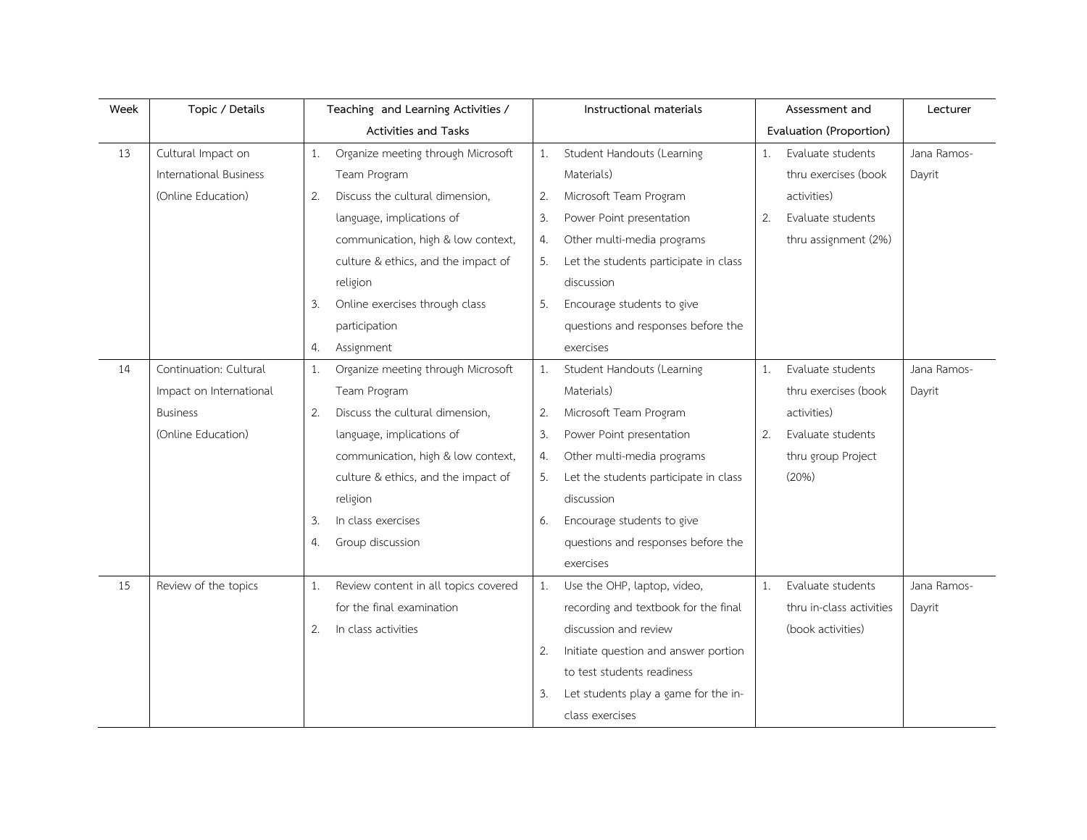| Week | Topic / Details         |    | Teaching and Learning Activities /   |    | Instructional materials               |    | Assessment and           | Lecturer    |
|------|-------------------------|----|--------------------------------------|----|---------------------------------------|----|--------------------------|-------------|
|      |                         |    | <b>Activities and Tasks</b>          |    |                                       |    | Evaluation (Proportion)  |             |
| 13   | Cultural Impact on      | 1. | Organize meeting through Microsoft   | 1. | Student Handouts (Learning            | 1. | Evaluate students        | Jana Ramos- |
|      | International Business  |    | Team Program                         |    | Materials)                            |    | thru exercises (book     | Dayrit      |
|      | (Online Education)      | 2. | Discuss the cultural dimension,      | 2. | Microsoft Team Program                |    | activities)              |             |
|      |                         |    | language, implications of            | 3. | Power Point presentation              | 2. | Evaluate students        |             |
|      |                         |    | communication, high & low context,   | 4. | Other multi-media programs            |    | thru assignment (2%)     |             |
|      |                         |    | culture & ethics, and the impact of  | 5. | Let the students participate in class |    |                          |             |
|      |                         |    | religion                             |    | discussion                            |    |                          |             |
|      |                         | 3. | Online exercises through class       | 5. | Encourage students to give            |    |                          |             |
|      |                         |    | participation                        |    | questions and responses before the    |    |                          |             |
|      |                         | 4. | Assignment                           |    | exercises                             |    |                          |             |
| 14   | Continuation: Cultural  | 1. | Organize meeting through Microsoft   | 1. | Student Handouts (Learning            | 1. | Evaluate students        | Jana Ramos- |
|      | Impact on International |    | Team Program                         |    | Materials)                            |    | thru exercises (book     | Dayrit      |
|      | <b>Business</b>         | 2. | Discuss the cultural dimension,      | 2. | Microsoft Team Program                |    | activities)              |             |
|      | (Online Education)      |    | language, implications of            | 3. | Power Point presentation              | 2. | Evaluate students        |             |
|      |                         |    | communication, high & low context,   | 4. | Other multi-media programs            |    | thru group Project       |             |
|      |                         |    | culture & ethics, and the impact of  | 5. | Let the students participate in class |    | (20%)                    |             |
|      |                         |    | religion                             |    | discussion                            |    |                          |             |
|      |                         | 3. | In class exercises                   | 6. | Encourage students to give            |    |                          |             |
|      |                         | 4. | Group discussion                     |    | questions and responses before the    |    |                          |             |
|      |                         |    |                                      |    | exercises                             |    |                          |             |
| 15   | Review of the topics    | 1. | Review content in all topics covered | 1. | Use the OHP, laptop, video,           | 1. | Evaluate students        | Jana Ramos- |
|      |                         |    | for the final examination            |    | recording and textbook for the final  |    | thru in-class activities | Dayrit      |
|      |                         | 2. | In class activities                  |    | discussion and review                 |    | (book activities)        |             |
|      |                         |    |                                      | 2. | Initiate question and answer portion  |    |                          |             |
|      |                         |    |                                      |    | to test students readiness            |    |                          |             |
|      |                         |    |                                      | 3. | Let students play a game for the in-  |    |                          |             |
|      |                         |    |                                      |    | class exercises                       |    |                          |             |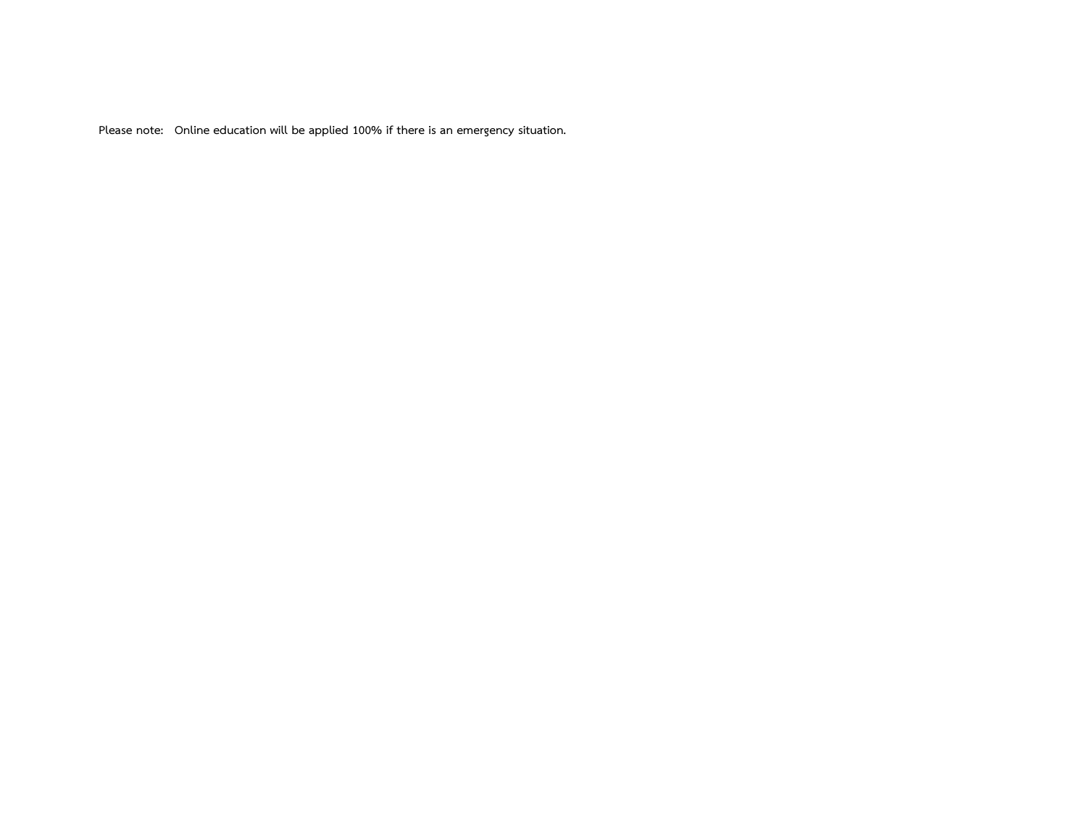**Please note: Online education will be applied 100% if there is an emergency situation.**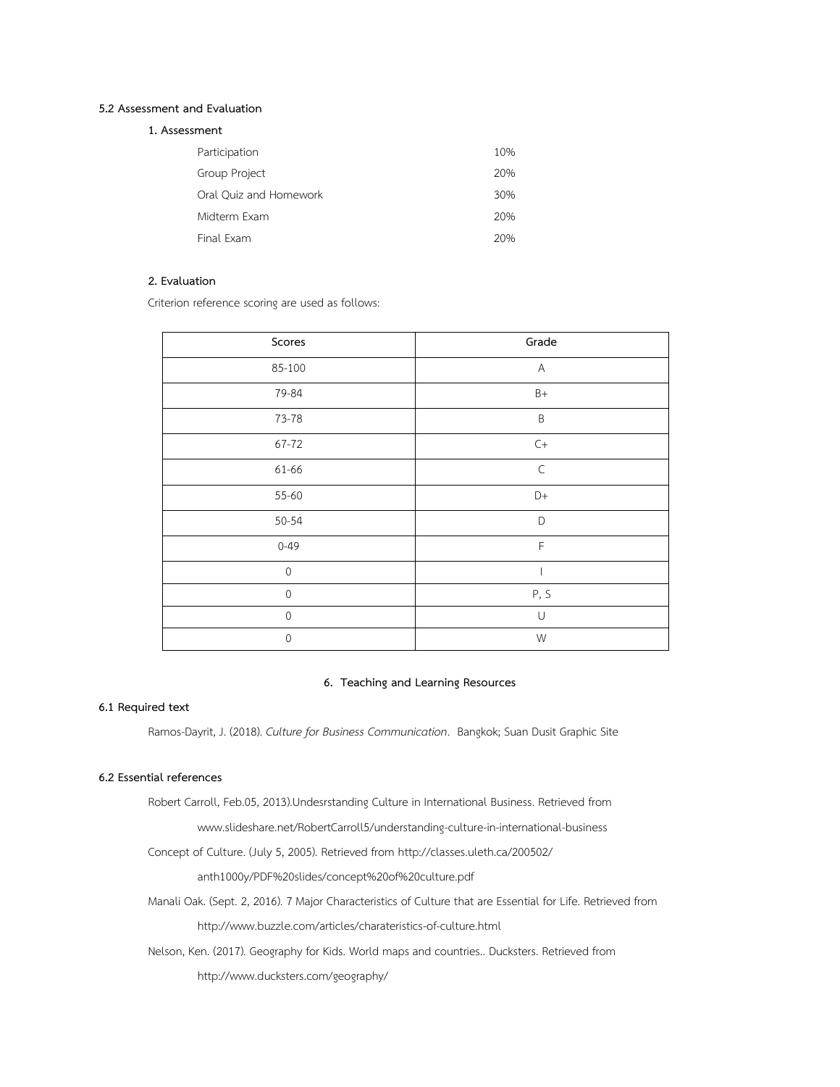#### **5.2 Assessment and Evaluation**

| 1. Assessment |
|---------------|
|               |

| Participation          | 10% |
|------------------------|-----|
| Group Project          | 20% |
| Oral Quiz and Homework | 30% |
| Midterm Exam           | 20% |
| Final Exam             | 20% |

## **2. Evaluation**

Criterion reference scoring are used as follows:

| Grade                  |
|------------------------|
| $\mathsf{A}$           |
| $B+$                   |
| $\sf B$                |
| $\mathsf{C}\mathsf{+}$ |
| $\subset$              |
| D+                     |
| D                      |
| $\mathsf F$            |
|                        |
| P, S                   |
| $\cup$                 |
| W                      |
|                        |

## **6. Teaching and Learning Resources**

## **6.1 Required text**

Ramos-Dayrit, J. (2018). *Culture for Business Communication*. Bangkok; Suan Dusit Graphic Site

## **6.2 Essential references**

Robert Carroll, Feb.05, 2013).Undesrstanding Culture in International Business. Retrieved from

www.slideshare.net/RobertCarroll5/understanding-culture-in-international-business

Concept of Culture. (July 5, 2005). Retrieved from http://classes.uleth.ca/200502/

anth1000y/PDF%20slides/concept%20of%20culture.pdf

Manali Oak. (Sept. 2, 2016). 7 Major Characteristics of Culture that are Essential for Life. Retrieved from

http://www.buzzle.com/articles/charateristics-of-culture.html

Nelson, Ken. (2017). Geography for Kids. World maps and countries.. Ducksters. Retrieved from

http://www.ducksters.com/geography/